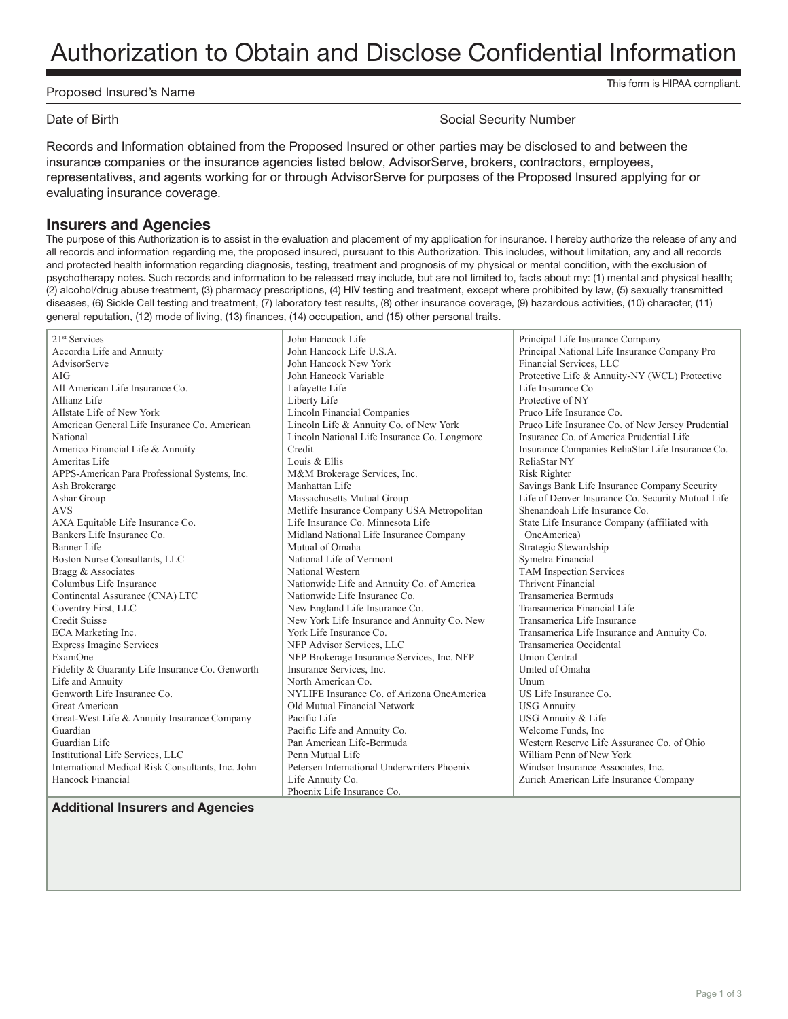# Authorization to Obtain and Disclose Confidential Information

| Proposed Insured's Name |  |
|-------------------------|--|
|                         |  |

This form is HIPAA compliant.

Date of Birth Social Security Number

Records and Information obtained from the Proposed Insured or other parties may be disclosed to and between the insurance companies or the insurance agencies listed below, AdvisorServe, brokers, contractors, employees, representatives, and agents working for or through AdvisorServe for purposes of the Proposed Insured applying for or evaluating insurance coverage.

### **Insurers and Agencies**

The purpose of this Authorization is to assist in the evaluation and placement of my application for insurance. I hereby authorize the release of any and all records and information regarding me, the proposed insured, pursuant to this Authorization. This includes, without limitation, any and all records and protected health information regarding diagnosis, testing, treatment and prognosis of my physical or mental condition, with the exclusion of psychotherapy notes. Such records and information to be released may include, but are not limited to, facts about my: (1) mental and physical health; (2) alcohol/drug abuse treatment, (3) pharmacy prescriptions, (4) HIV testing and treatment, except where prohibited by law, (5) sexually transmitted diseases, (6) Sickle Cell testing and treatment, (7) laboratory test results, (8) other insurance coverage, (9) hazardous activities, (10) character, (11) general reputation, (12) mode of living, (13) finances, (14) occupation, and (15) other personal traits.

| 21 <sup>st</sup> Services                         | John Hancock Life                            | Principal Life Insurance Company                  |
|---------------------------------------------------|----------------------------------------------|---------------------------------------------------|
| Accordia Life and Annuity                         | John Hancock Life U.S.A.                     | Principal National Life Insurance Company Pro     |
| AdvisorServe                                      | John Hancock New York                        | Financial Services, LLC                           |
| AIG                                               | John Hancock Variable                        | Protective Life & Annuity-NY (WCL) Protective     |
| All American Life Insurance Co.                   | Lafayette Life                               | Life Insurance Co                                 |
| Allianz Life                                      | Liberty Life                                 | Protective of NY                                  |
| Allstate Life of New York                         | Lincoln Financial Companies                  | Pruco Life Insurance Co.                          |
| American General Life Insurance Co. American      | Lincoln Life & Annuity Co. of New York       | Pruco Life Insurance Co. of New Jersey Prudential |
| National                                          | Lincoln National Life Insurance Co. Longmore | Insurance Co. of America Prudential Life          |
| Americo Financial Life & Annuity                  | Credit                                       | Insurance Companies ReliaStar Life Insurance Co.  |
| Ameritas Life                                     | Louis & Ellis                                | ReliaStar NY                                      |
| APPS-American Para Professional Systems, Inc.     | M&M Brokerage Services, Inc.                 | Risk Righter                                      |
| Ash Brokerarge                                    | Manhattan Life                               | Savings Bank Life Insurance Company Security      |
| Ashar Group                                       | Massachusetts Mutual Group                   | Life of Denver Insurance Co. Security Mutual Life |
| <b>AVS</b>                                        | Metlife Insurance Company USA Metropolitan   | Shenandoah Life Insurance Co.                     |
| AXA Equitable Life Insurance Co.                  | Life Insurance Co. Minnesota Life            | State Life Insurance Company (affiliated with     |
| Bankers Life Insurance Co.                        | Midland National Life Insurance Company      | OneAmerica)                                       |
| Banner Life                                       | Mutual of Omaha                              | Strategic Stewardship                             |
| Boston Nurse Consultants, LLC                     | National Life of Vermont                     | Symetra Financial                                 |
| Bragg & Associates                                | National Western                             | <b>TAM Inspection Services</b>                    |
| Columbus Life Insurance                           | Nationwide Life and Annuity Co. of America   | Thrivent Financial                                |
| Continental Assurance (CNA) LTC                   | Nationwide Life Insurance Co.                | Transamerica Bermuds                              |
| Coventry First, LLC                               | New England Life Insurance Co.               | Transamerica Financial Life                       |
| <b>Credit Suisse</b>                              | New York Life Insurance and Annuity Co. New  | Transamerica Life Insurance                       |
| ECA Marketing Inc.                                | York Life Insurance Co.                      | Transamerica Life Insurance and Annuity Co.       |
| <b>Express Imagine Services</b>                   | NFP Advisor Services, LLC                    | Transamerica Occidental                           |
| ExamOne                                           | NFP Brokerage Insurance Services, Inc. NFP   | <b>Union Central</b>                              |
| Fidelity & Guaranty Life Insurance Co. Genworth   | Insurance Services, Inc.                     | United of Omaha                                   |
| Life and Annuity                                  | North American Co.                           | Unum                                              |
| Genworth Life Insurance Co.                       | NYLIFE Insurance Co. of Arizona OneAmerica   | US Life Insurance Co.                             |
| Great American                                    | Old Mutual Financial Network                 | <b>USG Annuity</b>                                |
| Great-West Life & Annuity Insurance Company       | Pacific Life                                 | USG Annuity & Life                                |
| Guardian                                          | Pacific Life and Annuity Co.                 | Welcome Funds, Inc.                               |
| Guardian Life                                     | Pan American Life-Bermuda                    | Western Reserve Life Assurance Co. of Ohio        |
| Institutional Life Services, LLC                  | Penn Mutual Life                             | William Penn of New York                          |
| International Medical Risk Consultants, Inc. John | Petersen International Underwriters Phoenix  | Windsor Insurance Associates, Inc.                |
| Hancock Financial                                 | Life Annuity Co.                             | Zurich American Life Insurance Company            |
|                                                   | Phoenix Life Insurance Co.                   |                                                   |

**Additional Insurers and Agencies**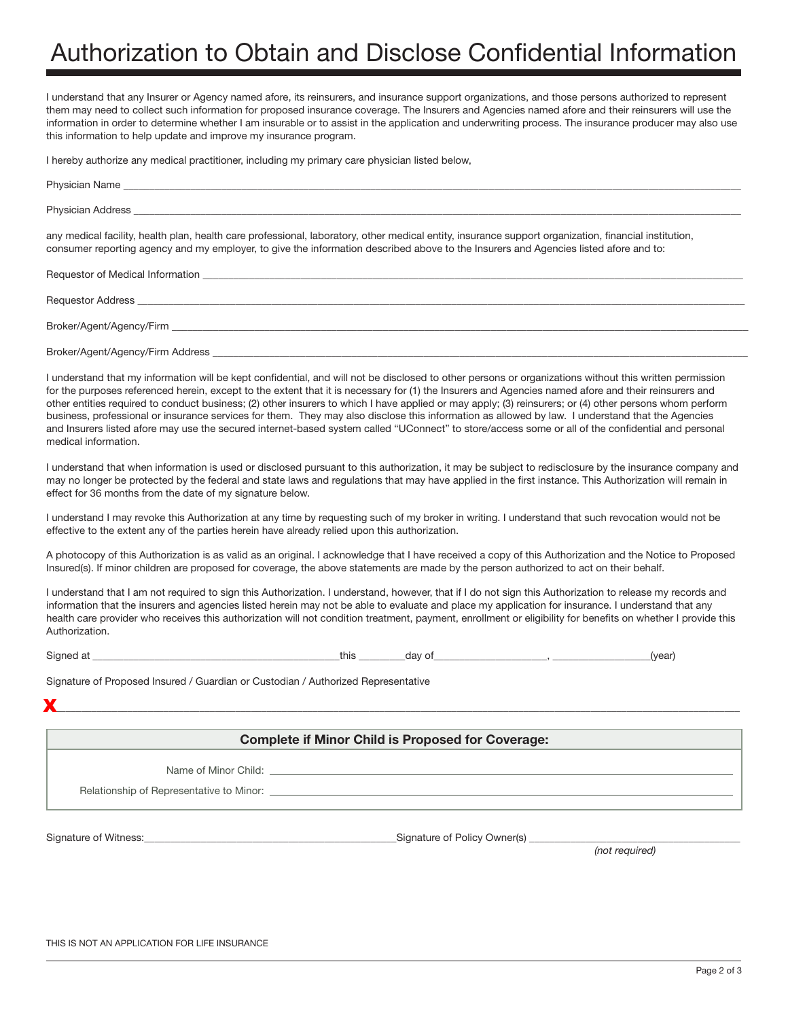# Authorization to Obtain and Disclose Confidential Information

I understand that any Insurer or Agency named afore, its reinsurers, and insurance support organizations, and those persons authorized to represent them may need to collect such information for proposed insurance coverage. The Insurers and Agencies named afore and their reinsurers will use the information in order to determine whether I am insurable or to assist in the application and underwriting process. The insurance producer may also use this information to help update and improve my insurance program.

I hereby authorize any medical practitioner, including my primary care physician listed below,

| any medical facility, health plan, health care professional, laboratory, other medical entity, insurance support organization, financial institution,<br>consumer reporting agency and my employer, to give the information described above to the Insurers and Agencies listed afore and to: |
|-----------------------------------------------------------------------------------------------------------------------------------------------------------------------------------------------------------------------------------------------------------------------------------------------|
|                                                                                                                                                                                                                                                                                               |
|                                                                                                                                                                                                                                                                                               |
|                                                                                                                                                                                                                                                                                               |

Broker/Agent/Agency/Firm Address \_

I understand that my information will be kept confidential, and will not be disclosed to other persons or organizations without this written permission for the purposes referenced herein, except to the extent that it is necessary for (1) the Insurers and Agencies named afore and their reinsurers and other entities required to conduct business; (2) other insurers to which I have applied or may apply; (3) reinsurers; or (4) other persons whom perform business, professional or insurance services for them. They may also disclose this information as allowed by law. I understand that the Agencies and Insurers listed afore may use the secured internet-based system called "UConnect" to store/access some or all of the confidential and personal medical information.

I understand that when information is used or disclosed pursuant to this authorization, it may be subject to redisclosure by the insurance company and may no longer be protected by the federal and state laws and regulations that may have applied in the first instance. This Authorization will remain in effect for 36 months from the date of my signature below.

I understand I may revoke this Authorization at any time by requesting such of my broker in writing. I understand that such revocation would not be effective to the extent any of the parties herein have already relied upon this authorization.

A photocopy of this Authorization is as valid as an original. I acknowledge that I have received a copy of this Authorization and the Notice to Proposed Insured(s). If minor children are proposed for coverage, the above statements are made by the person authorized to act on their behalf.

I understand that I am not required to sign this Authorization. I understand, however, that if I do not sign this Authorization to release my records and information that the insurers and agencies listed herein may not be able to evaluate and place my application for insurance. I understand that any health care provider who receives this authorization will not condition treatment, payment, enrollment or eligibility for benefits on whether I provide this Authorization.

Signed at \_\_\_\_\_\_\_\_\_\_\_\_\_\_\_\_\_\_\_\_\_\_\_\_\_\_\_\_\_\_\_\_\_\_\_\_\_\_\_\_\_\_\_\_\_\_\_\_this \_\_\_\_\_\_\_\_\_day of\_\_\_\_\_\_\_\_\_\_\_\_\_\_\_\_\_\_\_\_\_\_, \_\_\_\_\_\_\_\_\_\_\_\_\_\_\_\_\_\_\_(year)

Signature of Proposed Insured / Guardian or Custodian / Authorized Representative

 $\mathbf{x}$  and the contribution of the contribution of the contribution of the contribution of the contribution of the contribution of the contribution of the contribution of the contribution of the contribution of the contr X

#### **Complete if Minor Child is Proposed for Coverage:**

Name of Minor Child: \_

Relationship of Representative to Minor:

Signature of Witness: example of Signature of Policy Owner(s) and Signature of Policy Owner(s) and Signature of Policy Owner(s) and Signature of Policy Owner(s) and Signature of Policy Owner(s) and Signature of Policy Owne

*(not required)*